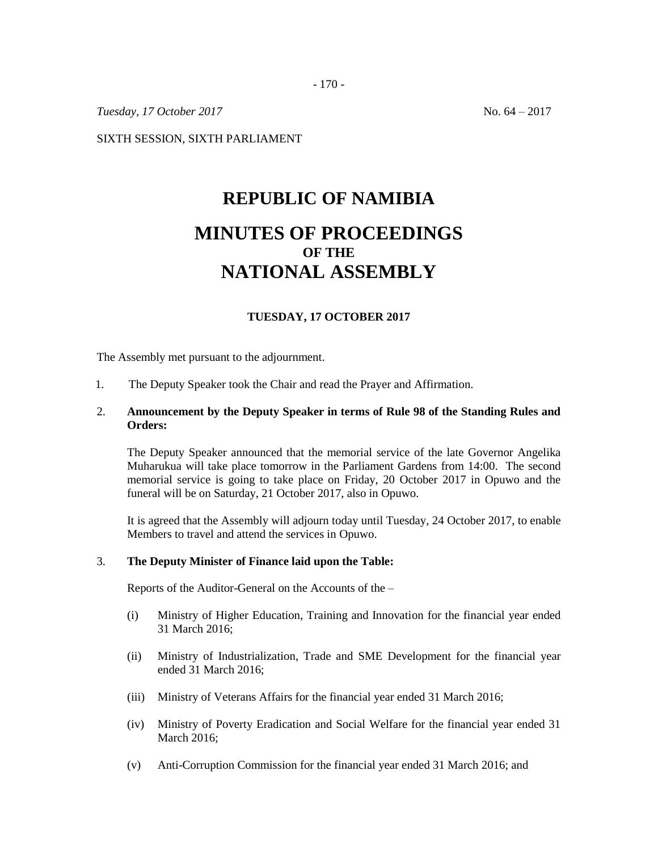- 170 -

*Tuesday, 17 October 2017* No. 64 – 2017

SIXTH SESSION, SIXTH PARLIAMENT

# **REPUBLIC OF NAMIBIA MINUTES OF PROCEEDINGS OF THE NATIONAL ASSEMBLY**

## **TUESDAY, 17 OCTOBER 2017**

The Assembly met pursuant to the adjournment.

1. The Deputy Speaker took the Chair and read the Prayer and Affirmation.

#### 2. **Announcement by the Deputy Speaker in terms of Rule 98 of the Standing Rules and Orders:**

The Deputy Speaker announced that the memorial service of the late Governor Angelika Muharukua will take place tomorrow in the Parliament Gardens from 14:00. The second memorial service is going to take place on Friday, 20 October 2017 in Opuwo and the funeral will be on Saturday, 21 October 2017, also in Opuwo.

It is agreed that the Assembly will adjourn today until Tuesday, 24 October 2017, to enable Members to travel and attend the services in Opuwo.

#### 3. **The Deputy Minister of Finance laid upon the Table:**

Reports of the Auditor-General on the Accounts of the –

- (i) Ministry of Higher Education, Training and Innovation for the financial year ended 31 March 2016;
- (ii) Ministry of Industrialization, Trade and SME Development for the financial year ended 31 March 2016;
- (iii) Ministry of Veterans Affairs for the financial year ended 31 March 2016;
- (iv) Ministry of Poverty Eradication and Social Welfare for the financial year ended 31 March 2016;
- (v) Anti-Corruption Commission for the financial year ended 31 March 2016; and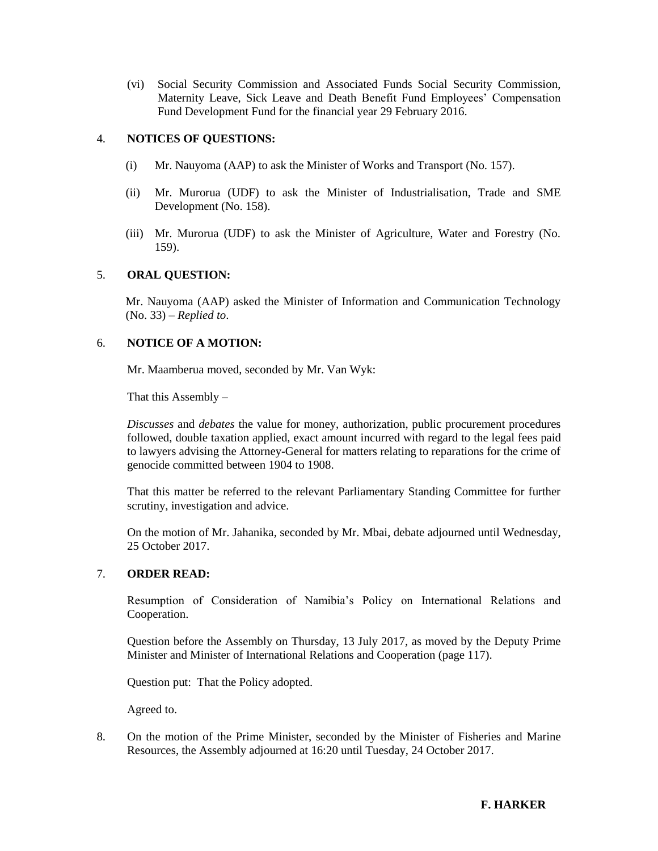(vi) Social Security Commission and Associated Funds Social Security Commission, Maternity Leave, Sick Leave and Death Benefit Fund Employees' Compensation Fund Development Fund for the financial year 29 February 2016.

## 4. **NOTICES OF QUESTIONS:**

- (i) Mr. Nauyoma (AAP) to ask the Minister of Works and Transport (No. 157).
- (ii) Mr. Murorua (UDF) to ask the Minister of Industrialisation, Trade and SME Development (No. 158).
- (iii) Mr. Murorua (UDF) to ask the Minister of Agriculture, Water and Forestry (No. 159).

## 5. **ORAL QUESTION:**

Mr. Nauyoma (AAP) asked the Minister of Information and Communication Technology (No. 33) – *Replied to*.

## 6. **NOTICE OF A MOTION:**

Mr. Maamberua moved, seconded by Mr. Van Wyk:

That this Assembly  $-$ 

*Discusses* and *debates* the value for money, authorization, public procurement procedures followed, double taxation applied, exact amount incurred with regard to the legal fees paid to lawyers advising the Attorney-General for matters relating to reparations for the crime of genocide committed between 1904 to 1908.

That this matter be referred to the relevant Parliamentary Standing Committee for further scrutiny, investigation and advice.

On the motion of Mr. Jahanika, seconded by Mr. Mbai, debate adjourned until Wednesday, 25 October 2017.

#### 7. **ORDER READ:**

Resumption of Consideration of Namibia's Policy on International Relations and Cooperation.

Question before the Assembly on Thursday, 13 July 2017, as moved by the Deputy Prime Minister and Minister of International Relations and Cooperation (page 117).

Question put: That the Policy adopted.

Agreed to.

8. On the motion of the Prime Minister, seconded by the Minister of Fisheries and Marine Resources, the Assembly adjourned at 16:20 until Tuesday, 24 October 2017.